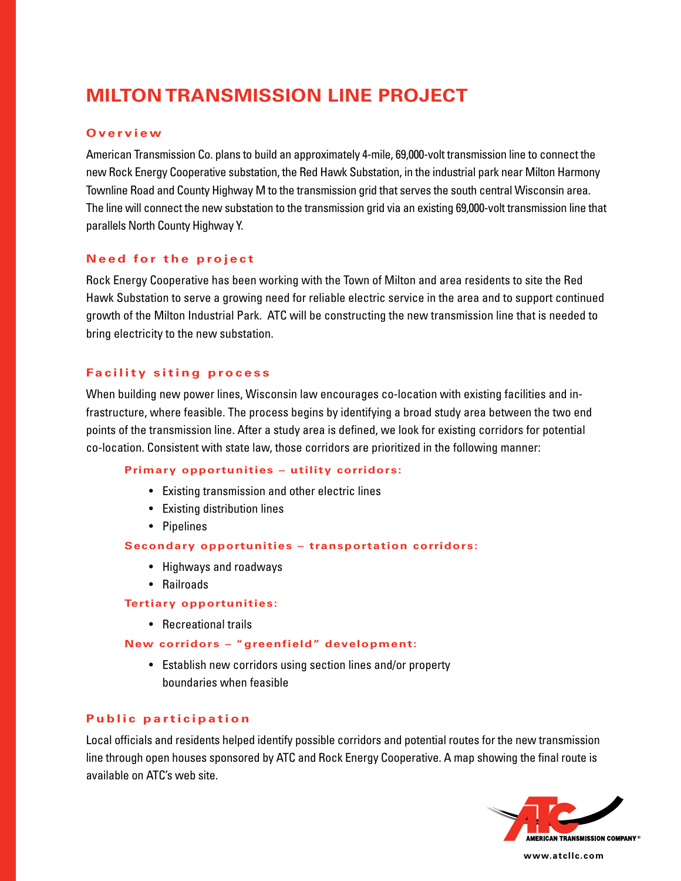# **Milton Transmission Line Project**

#### **O v e r v i e w**

American Transmission Co. plans to build an approximately 4-mile, 69,000-volt transmission line to connect the new Rock Energy Cooperative substation, the Red Hawk Substation, in the industrial park near Milton Harmony Townline Road and County Highway M to the transmission grid that serves the south central Wisconsin area. The line will connect the new substation to the transmission grid via an existing 69,000-volt transmission line that parallels North County Highway Y.

## **Need for the project**

Rock Energy Cooperative has been working with the Town of Milton and area residents to site the Red Hawk Substation to serve a growing need for reliable electric service in the area and to support continued growth of the Milton Industrial Park. ATC will be constructing the new transmission line that is needed to bring electricity to the new substation.

## **Facility siting process**

When building new power lines, Wisconsin law encourages co-location with existing facilities and infrastructure, where feasible. The process begins by identifying a broad study area between the two end points of the transmission line. After a study area is defined, we look for existing corridors for potential co-location. Consistent with state law, those corridors are prioritized in the following manner:

#### **Primary opportunities – utility corridors:**

- Existing transmission and other electric lines
- Existing distribution lines
- • Pipelines

#### **Secondary opportunities – transportation corridors:**

- • Highways and roadways
- • Railroads

#### **Tertiary opportunities:**

• Recreational trails

## **New corridors – "greenfield" development:**

• Establish new corridors using section lines and/or property boundaries when feasible

# **Public participation**

Local officials and residents helped identify possible corridors and potential routes for the new transmission line through open houses sponsored by ATC and Rock Energy Cooperative. A map showing the final route is available on ATC's web site.



**www.atcllc.com**